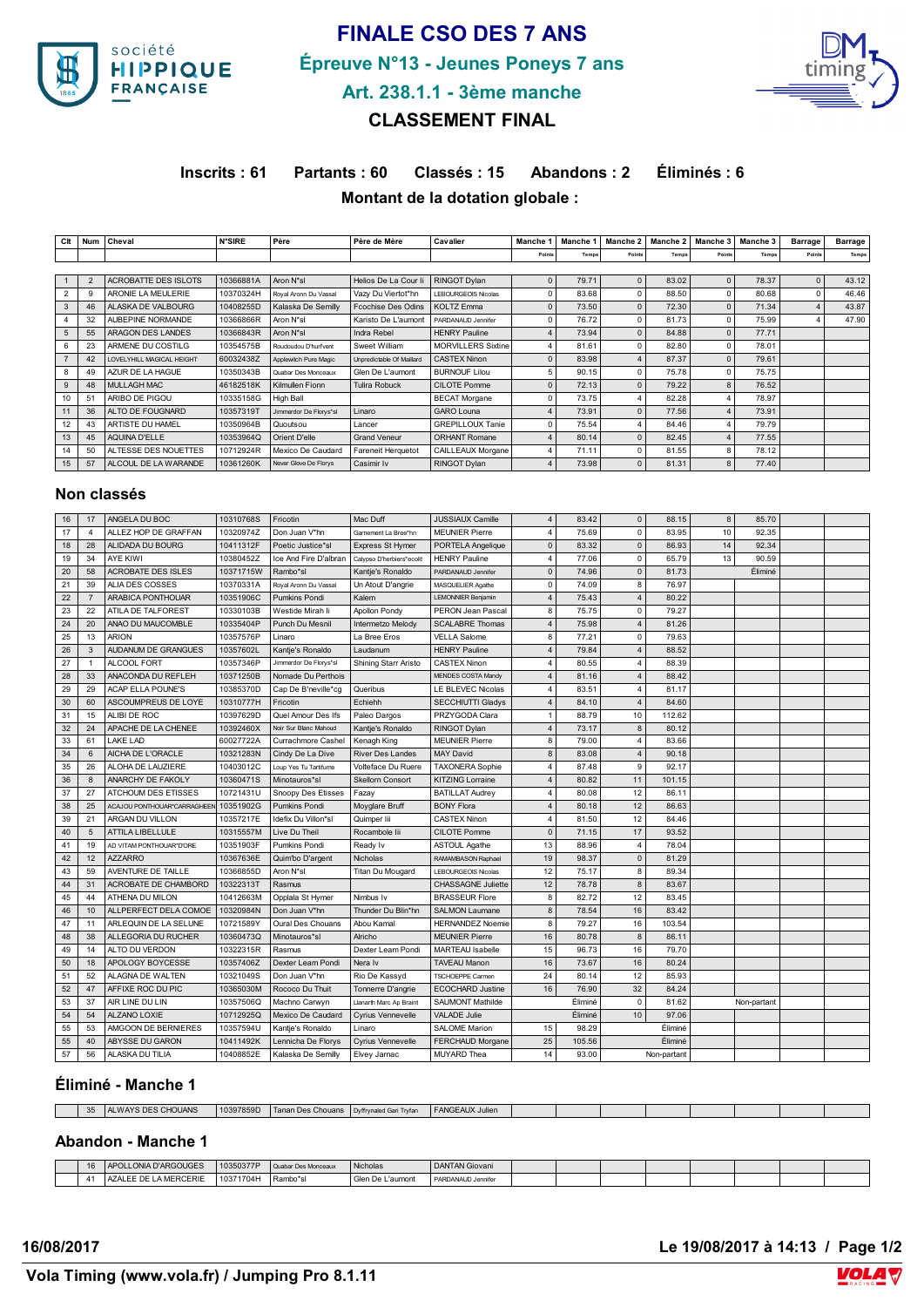

## **FINALE CSO DES 7 ANS Épreuve N°13 - Jeunes Poneys 7 ans Art. 238.1.1 - 3ème manche**



### **CLASSEMENT FINAL**

# Inscrits : 61 Partants : 60 Classés : 15 Abandons : 2 Éliminé

#### **Montant de la dotation globale :**

| ns : 2 |  |  | Elimines : 6 |  |  |  |
|--------|--|--|--------------|--|--|--|
|        |  |  |              |  |  |  |

| Clt | <b>Num</b> | Cheval                      | <b>N°SIRE</b> | Père                   | Père de Mère              | Cavalier                   | Manche   | Manche <sup>*</sup> | Manche <sub>2</sub> | Manche 2 | Manche 3 | Manche 3 | <b>Barrage</b> | <b>Barrage</b> |
|-----|------------|-----------------------------|---------------|------------------------|---------------------------|----------------------------|----------|---------------------|---------------------|----------|----------|----------|----------------|----------------|
|     |            |                             |               |                        |                           |                            | Points   | Temps               | Points              | Temps    | Points   | Temps    | Points         | Temps          |
|     |            |                             |               |                        |                           |                            |          |                     |                     |          |          |          |                |                |
|     |            | <b>ACROBATTE DES ISLOTS</b> | 10366881A     | Aron N*sl              | Helios De La Cour li      | <b>RINGOT Dvlan</b>        | $\Omega$ | 79.71               | $\Omega$            | 83.02    |          | 78.37    | $\Omega$       | 43.12          |
| 2   |            | ARONIE LA MEULERIE          | 10370324H     | Royal Aronn Du Vassal  | Vazy Du Viertot*hn        | <b>LEBOURGEOIS Nicolas</b> |          | 83.68               |                     | 88.50    |          | 80.68    |                | 46.46          |
| 3   | 46         | ALASKA DE VALBOURG          | 10408255D     | Kalaska De Semilly     | <b>Fcochise Des Odins</b> | <b>KOLTZ Emma</b>          |          | 73.50               |                     | 72.30    |          | 71.34    |                | 43.87          |
|     | 32         | AUBEPINE NORMANDE           | 10366866R     | Aron N*sl              | Karisto De L'aumont       | PARDANAUD Jennifer         |          | 76.72               |                     | 81.73    |          | 75.99    |                | 47.90          |
| 5   | 55         | <b>ARAGON DES LANDES</b>    | 10366843R     | Aron N*sl              | Indra Rebel               | <b>HENRY Pauline</b>       |          | 73.94               |                     | 84.88    |          | 77.71    |                |                |
| 6   | 23         | ARMENE DU COSTILG           | 10354575B     | Roudoudou D'hurl'vent  | Sweet William             | <b>MORVILLERS Sixtine</b>  |          | 81.61               |                     | 82.80    |          | 78.01    |                |                |
|     | 42         | LOVELYHILL MAGICAL HEIGHT   | 60032438Z     | Applewitch Pure Magic  | Unpredictable Of Maillard | <b>CASTEX Ninon</b>        |          | 83.98               |                     | 87.37    |          | 79.61    |                |                |
| 8   | 49         | AZUR DE LA HAGUE            | 10350343B     | Quabar Des Monceaux    | Glen De L'aumont          | <b>BURNOUF Lilou</b>       |          | 90.15               | $\Omega$            | 75.78    |          | 75.75    |                |                |
| 9   | 48         | <b>MULLAGH MAC</b>          | 46182518K     | Kilmullen Fionn        | <b>Tulira Robuck</b>      | <b>CILOTE Pomme</b>        |          | 72.13               |                     | 79.22    |          | 76.52    |                |                |
| 10  | 51         | ARIBO DE PIGOU              | 10335158G     | High Ball              |                           | <b>BECAT Morgane</b>       |          | 73.75               |                     | 82.28    |          | 78.97    |                |                |
| 11  | 36         | ALTO DE FOUGNARD            | 10357319T     | Jimmerdor De Florys*sl | Linaro                    | <b>GARO Louna</b>          |          | 73.91               |                     | 77.56    |          | 73.91    |                |                |
| 12  | 43         | <b>ARTISTE DU HAMEL</b>     | 10350964B     | Quoutsou               | Lancer                    | <b>GREPILLOUX Tanie</b>    |          | 75.54               |                     | 84.46    |          | 79.79    |                |                |
| 13  | 45         | <b>AQUINA D'ELLE</b>        | 10353964Q     | Orient D'elle          | <b>Grand Veneur</b>       | <b>ORHANT Romane</b>       |          | 80.14               |                     | 82.45    |          | 77.55    |                |                |
| 14  | 50         | ALTESSE DES NOUETTES        | 10712924R     | Mexico De Caudard      | Fareneit Herquetot        | CAILLEAUX Morgane          |          | 71.11               |                     | 81.55    |          | 78.12    |                |                |
| 15  | 57         | ALCOUL DE LA WARANDE        | 10361260K     | Never Glove De Florys  | Casimir Iv                | <b>RINGOT Dvlan</b>        |          | 73.98               |                     | 81.31    |          | 77.40    |                |                |

#### **Non classés**

| 16 | 17             | ANGELA DU BOC               | 10310768S | Fricotin                 | Mac Duff                  | <b>JUSSIAUX Camille</b>    | $\overline{4}$ | 83.42   | $\mathbf 0$    | 88.15       | 8  | 85.70       |  |
|----|----------------|-----------------------------|-----------|--------------------------|---------------------------|----------------------------|----------------|---------|----------------|-------------|----|-------------|--|
| 17 | $\overline{4}$ | ALLEZ HOP DE GRAFFAN        | 10320974Z | Don Juan V*hn            | Garnement La Bree*hn      | <b>MEUNIER Pierre</b>      | $\overline{4}$ | 75.69   | $\mathbf 0$    | 83.95       | 10 | 92.35       |  |
| 18 | 28             | ALIDADA DU BOURG            | 10411312F | Poetic Justice*sl        | Express St Hymer          | PORTELA Angelique          | $\mathbf{0}$   | 83.32   | $\mathbf{0}$   | 86.93       | 14 | 92.34       |  |
| 19 | 34             | AYE KIWI                    | 10380452Z | Ice And Fire D'albran    | Calypso D'herbiers*ecolit | <b>HENRY Pauline</b>       | $\overline{4}$ | 77.06   | $\mathbf 0$    | 65.79       | 13 | 90.59       |  |
| 20 | 58             | <b>ACROBATE DES ISLES</b>   | 10371715W | Rambo*sl                 | Kantje's Ronaldo          | PARDANAUD Jennifer         | $\mathbf{0}$   | 74.96   | $\mathbf{0}$   | 81.73       |    | Éliminé     |  |
| 21 | 39             | ALIA DES COSSES             | 10370331A | Royal Aronn Du Vassal    | Un Atout D'angrie         | MASQUELIER Agathe          | 0              | 74.09   | 8              | 76.97       |    |             |  |
| 22 | $\overline{7}$ | ARABICA PONTHOUAR           | 10351906C | Pumkins Pondi            | Kalem                     | LEMONNIER Benjamin         | $\overline{4}$ | 75.43   | $\overline{A}$ | 80.22       |    |             |  |
| 23 | 22             | ATILA DE TALFOREST          | 10330103B | Westide Mirah li         | <b>Apollon Pondy</b>      | PERON Jean Pascal          | 8              | 75.75   | $\mathbf 0$    | 79.27       |    |             |  |
| 24 | 20             | ANAO DU MAUCOMBLE           | 10335404P | Punch Du Mesnil          | Intermetzo Melody         | <b>SCALABRE Thomas</b>     | $\overline{4}$ | 75.98   | $\overline{4}$ | 81.26       |    |             |  |
| 25 | 13             | <b>ARION</b>                | 10357576P | Linaro                   | La Bree Eros              | <b>VELLA Salome</b>        | 8              | 77.21   | $\mathbf 0$    | 79.63       |    |             |  |
| 26 | 3              | AUDANUM DE GRANGUES         | 10357602L | Kantje's Ronaldo         | Laudanum                  | <b>HENRY Pauline</b>       | $\overline{4}$ | 79.84   | $\overline{4}$ | 88.52       |    |             |  |
| 27 | $\mathbf{1}$   | ALCOOL FORT                 | 10357346P | Jimmerdor De Florys*sl   | Shining Starr Aristo      | <b>CASTEX Ninon</b>        | 4              | 80.55   | $\overline{4}$ | 88.39       |    |             |  |
| 28 | 33             | ANACONDA DU REFLEH          | 10371250B | Nomade Du Perthois       |                           | <b>MENDES COSTA Mandy</b>  | $\overline{4}$ | 81.16   | $\overline{4}$ | 88.42       |    |             |  |
| 29 | 29             | <b>ACAP ELLA POUNE'S</b>    | 10385370D | Cap De B'neville*cg      | Queribus                  | LE BLEVEC Nicolas          | 4              | 83.51   | $\overline{4}$ | 81.17       |    |             |  |
| 30 | 60             | ASCOUMPREUS DE LOYE         | 10310777H | Fricotin                 | Echiehh                   | <b>SECCHIUTTI Gladys</b>   | $\overline{4}$ | 84.10   | $\overline{4}$ | 84.60       |    |             |  |
| 31 | 15             | ALIBI DE ROC                | 10397629D | Quel Amour Des Ifs       | Paleo Dargos              | PRZYGODA Clara             | $\mathbf{1}$   | 88.79   | 10             | 112.62      |    |             |  |
| 32 | 24             | APACHE DE LA CHENEE         | 10392460X | Noir Sur Blanc Mahoud    | Kantje's Ronaldo          | RINGOT Dylan               | $\overline{4}$ | 73.17   | 8              | 80.12       |    |             |  |
| 33 | 61             | <b>LAKE LAD</b>             | 60027722A | Currachmore Cashel       | Kenagh King               | <b>MEUNIER Pierre</b>      | 8              | 79.00   | $\overline{4}$ | 83.66       |    |             |  |
| 34 | 6              | AICHA DE L'ORACLE           | 10321283N | Cindy De La Dive         | River Des Landes          | <b>MAY David</b>           | $\bf 8$        | 83.08   | $\overline{4}$ | 90.18       |    |             |  |
| 35 | 26             | ALOHA DE LAUZIERE           | 10403012C | Loup Yes Tu Tartifume    | Volteface Du Ruere        | <b>TAXONERA Sophie</b>     | $\overline{4}$ | 87.48   | 9              | 92.17       |    |             |  |
| 36 | 8              | ANARCHY DE FAKOLY           | 10360471S | Minotauros*sl            | <b>Skellorn Consort</b>   | <b>KITZING Lorraine</b>    | $\overline{4}$ | 80.82   | 11             | 101.15      |    |             |  |
| 37 | 27             | ATCHOUM DES ETISSES         | 10721431U | Snoopy Des Etisses       | Fazay                     | <b>BATILLAT Audrey</b>     | 4              | 80.08   | 12             | 86.11       |    |             |  |
| 38 | 25             | ACAJOU PONTHOUAR*CARRAGHEEN | 10351902G | Pumkins Pondi            | Moyglare Bruff            | <b>BONY Flora</b>          | $\overline{4}$ | 80.18   | 12             | 86.63       |    |             |  |
| 39 | 21             | ARGAN DU VILLON             | 10357217E | Idefix Du Villon*sl      | Quimper lii               | <b>CASTEX Ninon</b>        | $\overline{4}$ | 81.50   | 12             | 84.46       |    |             |  |
| 40 | 5              | ATTILA LIBELLULE            | 10315557M | Live Du Theil            | Rocambole lii             | <b>CILOTE Pomme</b>        | $\mathbf{0}$   | 71.15   | 17             | 93.52       |    |             |  |
| 41 | 19             | AD VITAM PONTHOUAR*D'ORE    | 10351903F | Pumkins Pondi            | Ready Iv                  | <b>ASTOUL Agathe</b>       | 13             | 88.96   | $\overline{4}$ | 78.04       |    |             |  |
| 42 | 12             | <b>AZZARRO</b>              | 10367636E | Quim'bo D'argent         | Nicholas                  | RAMAMBASON Raphael         | 19             | 98.37   | $\bf 0$        | 81.29       |    |             |  |
| 43 | 59             | AVENTURE DE TAILLE          | 10366855D | Aron N*sl                | Titan Du Mougard          | <b>LEBOURGEOIS Nicolas</b> | 12             | 75.17   | 8              | 89.34       |    |             |  |
| 44 | 31             | ACROBATE DE CHAMBORD        | 10322313T | Rasmus                   |                           | <b>CHASSAGNE Juliette</b>  | 12             | 78.78   | 8              | 83.67       |    |             |  |
| 45 | 44             | ATHENA DU MILON             | 10412663M | Opplala St Hymer         | Nimbus Iv                 | <b>BRASSEUR Flore</b>      | 8              | 82.72   | 12             | 83.45       |    |             |  |
| 46 | 10             | ALLPERFECT DELA COMOE       | 10320984N | Don Juan V*hn            | Thunder Du Blin*hn        | <b>SALMON Laumane</b>      | 8              | 78.54   | 16             | 83.42       |    |             |  |
| 47 | 11             | ARLEQUIN DE LA SELUNE       | 10721589Y | <b>Oural Des Chouans</b> | Abou Kamal                | <b>HERNANDEZ Noemie</b>    | 8              | 79.27   | 16             | 103.54      |    |             |  |
| 48 | 38             | ALLEGORIA DU RUCHER         | 10360473Q | Minotauros*sl            | Alricho                   | <b>MEUNIER Pierre</b>      | 16             | 80.78   | 8              | 86.11       |    |             |  |
| 49 | 14             | ALTO DU VERDON              | 10322315R | Rasmus                   | Dexter Leam Pondi         | <b>MARTEAU</b> Isabelle    | 15             | 96.73   | 16             | 79.70       |    |             |  |
| 50 | 18             | APOLOGY BOYCESSE            | 10357406Z | Dexter Leam Pondi        | Nera Iv                   | <b>TAVEAU Manon</b>        | 16             | 73.67   | 16             | 80.24       |    |             |  |
| 51 | 52             | ALAGNA DE WALTEN            | 10321049S | Don Juan V*hn            | Rio De Kassyd             | TSCHOEPPE Carmen           | 24             | 80.14   | 12             | 85.93       |    |             |  |
| 52 | 47             | AFFIXE ROC DU PIC           | 10365030M | Rococo Du Thuit          | Tonnerre D'angrie         | <b>ECOCHARD Justine</b>    | 16             | 76.90   | 32             | 84.24       |    |             |  |
| 53 | 37             | AIR LINE DU LIN             | 10357506Q | Machno Carwyn            | Llanarth Marc Ap Braint   | SAUMONT Mathilde           |                | Éliminé | $^{\circ}$     | 81.62       |    | Non-partant |  |
| 54 | 54             | ALZANO LOXIE                | 10712925Q | Mexico De Caudard        | <b>Cyrius Vennevelle</b>  | VALADE Julie               |                | Éliminé | 10             | 97.06       |    |             |  |
| 55 | 53             | AMGOON DE BERNIERES         | 10357594U | Kantje's Ronaldo         | Linaro                    | <b>SALOME Marion</b>       | 15             | 98.29   |                | Éliminé     |    |             |  |
| 55 | 40             | ABYSSE DU GARON             | 10411492K | Lennicha De Florys       | <b>Cyrius Vennevelle</b>  | FERCHAUD Morgane           | 25             | 105.56  |                | Éliminé     |    |             |  |
| 57 | 56             | ALASKA DU TILIA             | 10408852E | Kalaska De Semilly       | Elvey Jarnac              | MUYARD Thea                | 14             | 93.00   |                | Non-partant |    |             |  |

#### **Éliminé - Manche 1**

| FANGEAUX Julien<br><b>ES CHOUANS</b><br>10397859D<br>Tanan Des Chouans.<br><b>PVAIN</b><br>$\sim$<br>and and T<br>l Dvffrvnaled Ga<br>$\sqrt{1}$<br>l rvi:<br>$-1$ |
|--------------------------------------------------------------------------------------------------------------------------------------------------------------------|
|--------------------------------------------------------------------------------------------------------------------------------------------------------------------|

#### **Abandon - Manche 1**

| 16 | <b>LONIA D'ARGOUGES</b><br><b>APOL</b> | 10350377P | Quabar Des Monceaux | Nicholas        | <b>DANTAN Giovani</b>      |  |  |  |  |
|----|----------------------------------------|-----------|---------------------|-----------------|----------------------------|--|--|--|--|
|    | LA MERCERIE<br>AZALEE DE               | 10371704H | Rambo*sl            | Glen<br>aumon'. | PARDANAUD<br>D Jennifer ال |  |  |  |  |